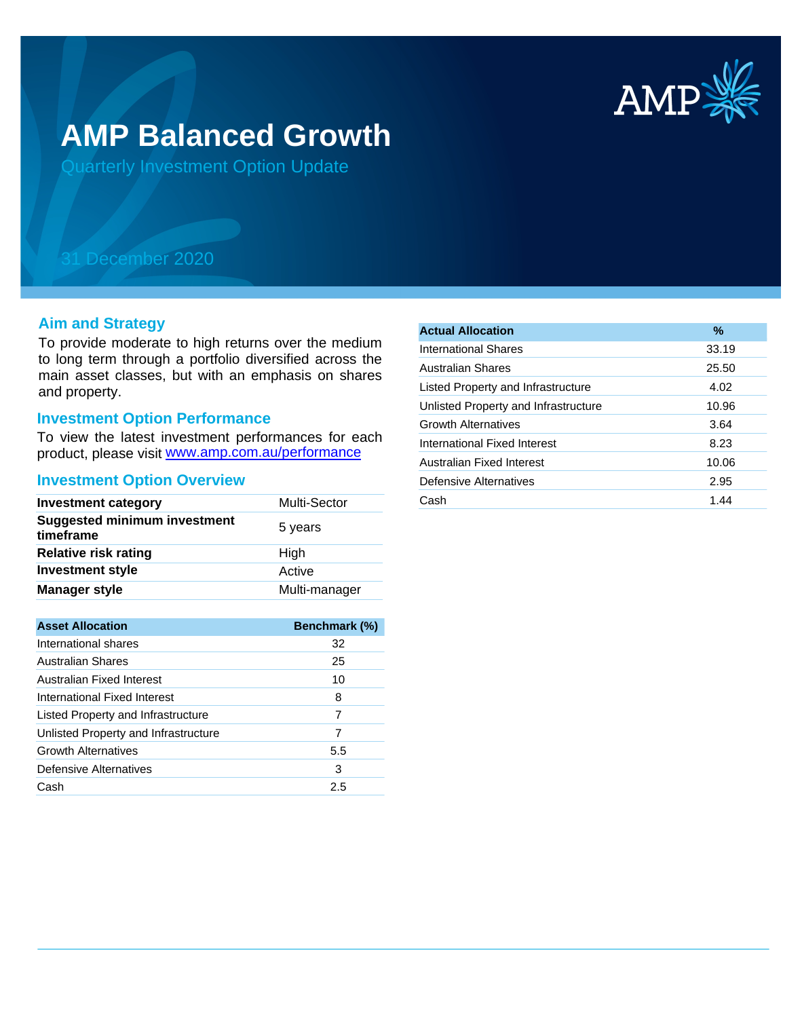

# **AMP Balanced Growth**

Quarterly Investment Option Update

## 31 December 2020

#### **Aim and Strategy**

To provide moderate to high returns over the medium to long term through a portfolio diversified across the main asset classes, but with an emphasis on shares and property.

### **Investment Option Performance**

product, please visit www.amp.com.au/performance To view the latest investment performances for each

#### **Investment Option Overview**

| <b>Investment category</b>                       | Multi-Sector  |
|--------------------------------------------------|---------------|
| <b>Suggested minimum investment</b><br>timeframe | 5 years       |
| <b>Relative risk rating</b>                      | High          |
| <b>Investment style</b>                          | Active        |
| <b>Manager style</b>                             | Multi-manager |

| <b>Asset Allocation</b>              | <b>Benchmark (%)</b> |
|--------------------------------------|----------------------|
| International shares                 | 32                   |
| <b>Australian Shares</b>             | 25                   |
| Australian Fixed Interest            | 10                   |
| International Fixed Interest         | 8                    |
| Listed Property and Infrastructure   | 7                    |
| Unlisted Property and Infrastructure | 7                    |
| <b>Growth Alternatives</b>           | 5.5                  |
| Defensive Alternatives               | 3                    |
| Cash                                 | 2.5                  |

| <b>Actual Allocation</b>             | $\frac{9}{6}$ |
|--------------------------------------|---------------|
| <b>International Shares</b>          | 33.19         |
| <b>Australian Shares</b>             | 25.50         |
| Listed Property and Infrastructure   | 4.02          |
| Unlisted Property and Infrastructure | 10.96         |
| <b>Growth Alternatives</b>           | 3.64          |
| International Fixed Interest         | 8.23          |
| Australian Fixed Interest            | 10.06         |
| Defensive Alternatives               | 2.95          |
| Cash                                 | 1.44          |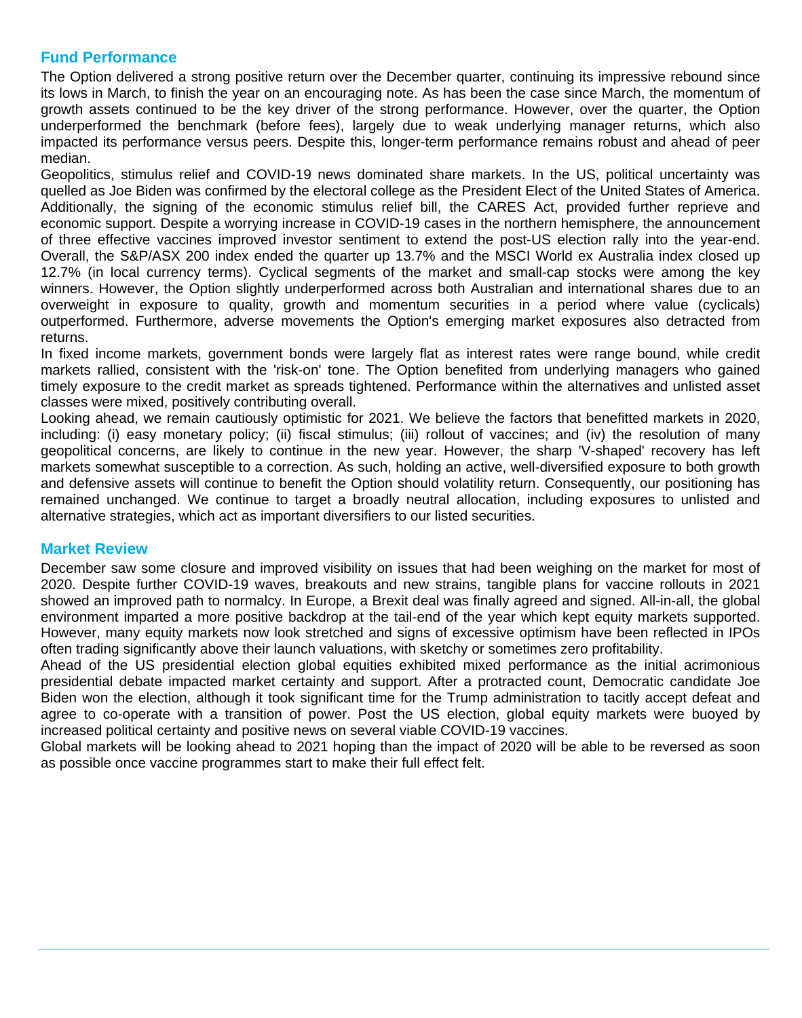#### **Fund Performance**

The Option delivered a strong positive return over the December quarter, continuing its impressive rebound since its lows in March, to finish the year on an encouraging note. As has been the case since March, the momentum of growth assets continued to be the key driver of the strong performance. However, over the quarter, the Option underperformed the benchmark (before fees), largely due to weak underlying manager returns, which also impacted its performance versus peers. Despite this, longer-term performance remains robust and ahead of peer median.

Geopolitics, stimulus relief and COVID-19 news dominated share markets. In the US, political uncertainty was quelled as Joe Biden was confirmed by the electoral college as the President Elect of the United States of America. Additionally, the signing of the economic stimulus relief bill, the CARES Act, provided further reprieve and economic support. Despite a worrying increase in COVID-19 cases in the northern hemisphere, the announcement of three effective vaccines improved investor sentiment to extend the post-US election rally into the year-end. Overall, the S&P/ASX 200 index ended the quarter up 13.7% and the MSCI World ex Australia index closed up 12.7% (in local currency terms). Cyclical segments of the market and small-cap stocks were among the key winners. However, the Option slightly underperformed across both Australian and international shares due to an overweight in exposure to quality, growth and momentum securities in a period where value (cyclicals) outperformed. Furthermore, adverse movements the Option's emerging market exposures also detracted from returns.

In fixed income markets, government bonds were largely flat as interest rates were range bound, while credit markets rallied, consistent with the 'risk-on' tone. The Option benefited from underlying managers who gained timely exposure to the credit market as spreads tightened. Performance within the alternatives and unlisted asset classes were mixed, positively contributing overall.

Looking ahead, we remain cautiously optimistic for 2021. We believe the factors that benefitted markets in 2020, including: (i) easy monetary policy; (ii) fiscal stimulus; (iii) rollout of vaccines; and (iv) the resolution of many geopolitical concerns, are likely to continue in the new year. However, the sharp 'V-shaped' recovery has left markets somewhat susceptible to a correction. As such, holding an active, well-diversified exposure to both growth and defensive assets will continue to benefit the Option should volatility return. Consequently, our positioning has remained unchanged. We continue to target a broadly neutral allocation, including exposures to unlisted and alternative strategies, which act as important diversifiers to our listed securities.

#### **Market Review**

December saw some closure and improved visibility on issues that had been weighing on the market for most of 2020. Despite further COVID-19 waves, breakouts and new strains, tangible plans for vaccine rollouts in 2021 showed an improved path to normalcy. In Europe, a Brexit deal was finally agreed and signed. All-in-all, the global environment imparted a more positive backdrop at the tail-end of the year which kept equity markets supported. However, many equity markets now look stretched and signs of excessive optimism have been reflected in IPOs often trading significantly above their launch valuations, with sketchy or sometimes zero profitability.

Ahead of the US presidential election global equities exhibited mixed performance as the initial acrimonious presidential debate impacted market certainty and support. After a protracted count, Democratic candidate Joe Biden won the election, although it took significant time for the Trump administration to tacitly accept defeat and agree to co-operate with a transition of power. Post the US election, global equity markets were buoyed by increased political certainty and positive news on several viable COVID-19 vaccines.

Global markets will be looking ahead to 2021 hoping than the impact of 2020 will be able to be reversed as soon as possible once vaccine programmes start to make their full effect felt.